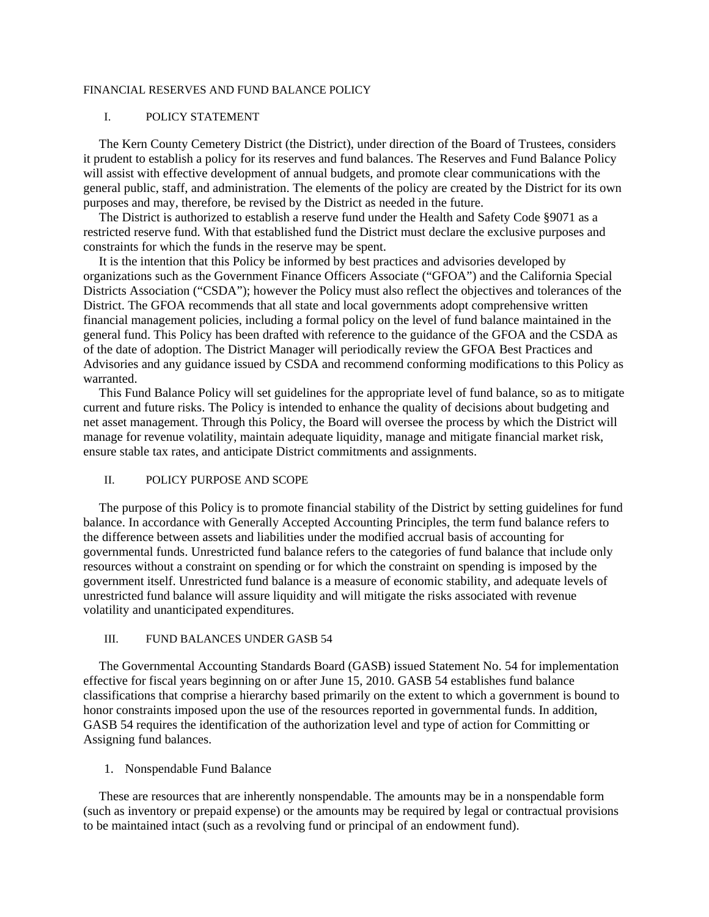#### FINANCIAL RESERVES AND FUND BALANCE POLICY

#### I. POLICY STATEMENT

The Kern County Cemetery District (the District), under direction of the Board of Trustees, considers it prudent to establish a policy for its reserves and fund balances. The Reserves and Fund Balance Policy will assist with effective development of annual budgets, and promote clear communications with the general public, staff, and administration. The elements of the policy are created by the District for its own purposes and may, therefore, be revised by the District as needed in the future.

The District is authorized to establish a reserve fund under the Health and Safety Code §9071 as a restricted reserve fund. With that established fund the District must declare the exclusive purposes and constraints for which the funds in the reserve may be spent.

It is the intention that this Policy be informed by best practices and advisories developed by organizations such as the Government Finance Officers Associate ("GFOA") and the California Special Districts Association ("CSDA"); however the Policy must also reflect the objectives and tolerances of the District. The GFOA recommends that all state and local governments adopt comprehensive written financial management policies, including a formal policy on the level of fund balance maintained in the general fund. This Policy has been drafted with reference to the guidance of the GFOA and the CSDA as of the date of adoption. The District Manager will periodically review the GFOA Best Practices and Advisories and any guidance issued by CSDA and recommend conforming modifications to this Policy as warranted.

This Fund Balance Policy will set guidelines for the appropriate level of fund balance, so as to mitigate current and future risks. The Policy is intended to enhance the quality of decisions about budgeting and net asset management. Through this Policy, the Board will oversee the process by which the District will manage for revenue volatility, maintain adequate liquidity, manage and mitigate financial market risk, ensure stable tax rates, and anticipate District commitments and assignments.

#### II. POLICY PURPOSE AND SCOPE

The purpose of this Policy is to promote financial stability of the District by setting guidelines for fund balance. In accordance with Generally Accepted Accounting Principles, the term fund balance refers to the difference between assets and liabilities under the modified accrual basis of accounting for governmental funds. Unrestricted fund balance refers to the categories of fund balance that include only resources without a constraint on spending or for which the constraint on spending is imposed by the government itself. Unrestricted fund balance is a measure of economic stability, and adequate levels of unrestricted fund balance will assure liquidity and will mitigate the risks associated with revenue volatility and unanticipated expenditures.

#### III. FUND BALANCES UNDER GASB 54

The Governmental Accounting Standards Board (GASB) issued Statement No. 54 for implementation effective for fiscal years beginning on or after June 15, 2010. GASB 54 establishes fund balance classifications that comprise a hierarchy based primarily on the extent to which a government is bound to honor constraints imposed upon the use of the resources reported in governmental funds. In addition, GASB 54 requires the identification of the authorization level and type of action for Committing or Assigning fund balances.

#### 1. Nonspendable Fund Balance

These are resources that are inherently nonspendable. The amounts may be in a nonspendable form (such as inventory or prepaid expense) or the amounts may be required by legal or contractual provisions to be maintained intact (such as a revolving fund or principal of an endowment fund).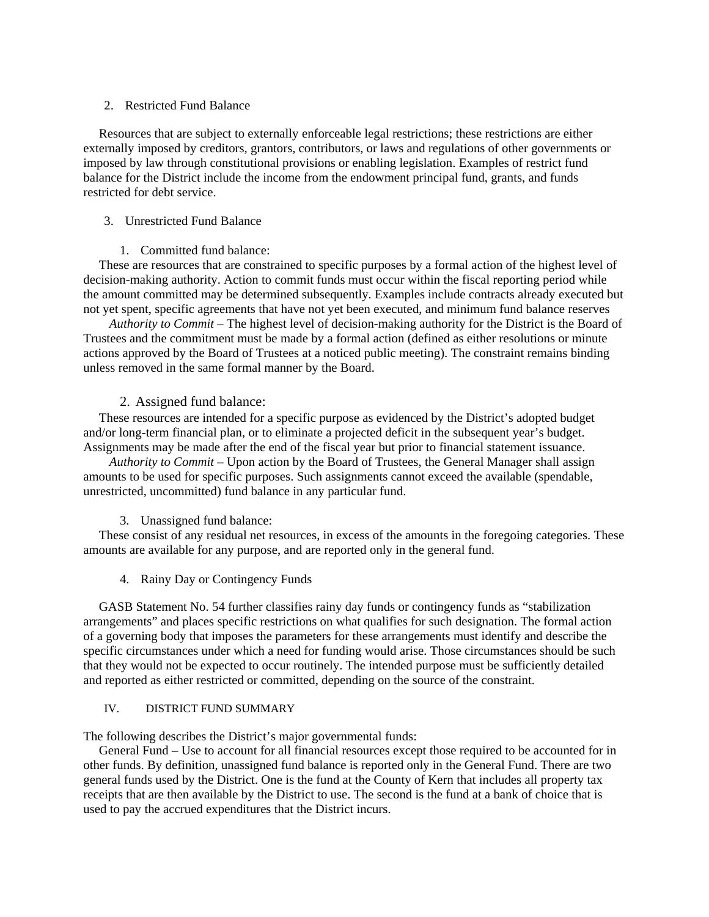### 2. Restricted Fund Balance

Resources that are subject to externally enforceable legal restrictions; these restrictions are either externally imposed by creditors, grantors, contributors, or laws and regulations of other governments or imposed by law through constitutional provisions or enabling legislation. Examples of restrict fund balance for the District include the income from the endowment principal fund, grants, and funds restricted for debt service.

# 3. Unrestricted Fund Balance

# 1. Committed fund balance:

These are resources that are constrained to specific purposes by a formal action of the highest level of decision-making authority. Action to commit funds must occur within the fiscal reporting period while the amount committed may be determined subsequently. Examples include contracts already executed but not yet spent, specific agreements that have not yet been executed, and minimum fund balance reserves

*Authority to Commit* – The highest level of decision-making authority for the District is the Board of Trustees and the commitment must be made by a formal action (defined as either resolutions or minute actions approved by the Board of Trustees at a noticed public meeting). The constraint remains binding unless removed in the same formal manner by the Board.

# 2. Assigned fund balance:

These resources are intended for a specific purpose as evidenced by the District's adopted budget and/or long-term financial plan, or to eliminate a projected deficit in the subsequent year's budget. Assignments may be made after the end of the fiscal year but prior to financial statement issuance.

*Authority to Commit* – Upon action by the Board of Trustees, the General Manager shall assign amounts to be used for specific purposes. Such assignments cannot exceed the available (spendable, unrestricted, uncommitted) fund balance in any particular fund.

# 3. Unassigned fund balance:

These consist of any residual net resources, in excess of the amounts in the foregoing categories. These amounts are available for any purpose, and are reported only in the general fund.

4. Rainy Day or Contingency Funds

GASB Statement No. 54 further classifies rainy day funds or contingency funds as "stabilization arrangements" and places specific restrictions on what qualifies for such designation. The formal action of a governing body that imposes the parameters for these arrangements must identify and describe the specific circumstances under which a need for funding would arise. Those circumstances should be such that they would not be expected to occur routinely. The intended purpose must be sufficiently detailed and reported as either restricted or committed, depending on the source of the constraint.

# IV. DISTRICT FUND SUMMARY

The following describes the District's major governmental funds:

General Fund – Use to account for all financial resources except those required to be accounted for in other funds. By definition, unassigned fund balance is reported only in the General Fund. There are two general funds used by the District. One is the fund at the County of Kern that includes all property tax receipts that are then available by the District to use. The second is the fund at a bank of choice that is used to pay the accrued expenditures that the District incurs.